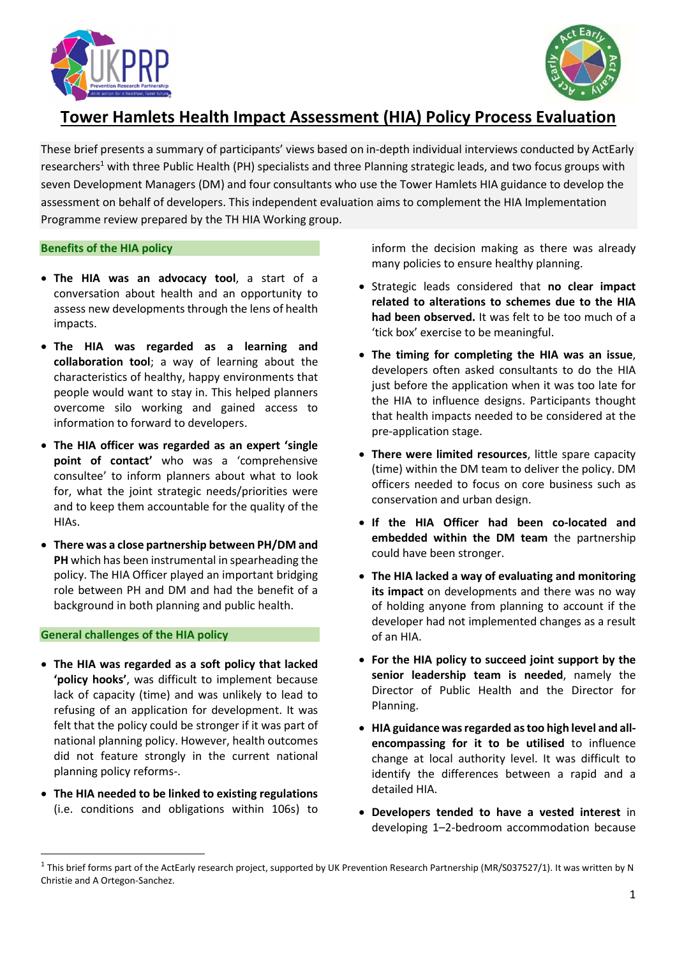



# Tower Hamlets Health Impact Assessment (HIA) Policy Process Evaluation

These brief presents a summary of participants' views based on in-depth individual interviews conducted by ActEarly researchers<sup>1</sup> with three Public Health (PH) specialists and three Planning strategic leads, and two focus groups with seven Development Managers (DM) and four consultants who use the Tower Hamlets HIA guidance to develop the assessment on behalf of developers. This independent evaluation aims to complement the HIA Implementation Programme review prepared by the TH HIA Working group.

## Benefits of the HIA policy

- The HIA was an advocacy tool, a start of a conversation about health and an opportunity to assess new developments through the lens of health impacts.
- The HIA was regarded as a learning and collaboration tool; a way of learning about the characteristics of healthy, happy environments that people would want to stay in. This helped planners overcome silo working and gained access to information to forward to developers.
- The HIA officer was regarded as an expert 'single point of contact' who was a 'comprehensive consultee' to inform planners about what to look for, what the joint strategic needs/priorities were and to keep them accountable for the quality of the HIAs.
- There was a close partnership between PH/DM and PH which has been instrumental in spearheading the policy. The HIA Officer played an important bridging role between PH and DM and had the benefit of a background in both planning and public health.

## General challenges of the HIA policy

- The HIA was regarded as a soft policy that lacked 'policy hooks', was difficult to implement because lack of capacity (time) and was unlikely to lead to refusing of an application for development. It was felt that the policy could be stronger if it was part of national planning policy. However, health outcomes did not feature strongly in the current national planning policy reforms-.
- The HIA needed to be linked to existing regulations (i.e. conditions and obligations within 106s) to

inform the decision making as there was already many policies to ensure healthy planning.

- Strategic leads considered that no clear impact related to alterations to schemes due to the HIA had been observed. It was felt to be too much of a 'tick box' exercise to be meaningful.
- The timing for completing the HIA was an issue, developers often asked consultants to do the HIA just before the application when it was too late for the HIA to influence designs. Participants thought that health impacts needed to be considered at the pre-application stage.
- There were limited resources, little spare capacity (time) within the DM team to deliver the policy. DM officers needed to focus on core business such as conservation and urban design.
- If the HIA Officer had been co-located and embedded within the DM team the partnership could have been stronger.
- The HIA lacked a way of evaluating and monitoring its impact on developments and there was no way of holding anyone from planning to account if the developer had not implemented changes as a result of an HIA.
- For the HIA policy to succeed joint support by the senior leadership team is needed, namely the Director of Public Health and the Director for Planning.
- HIA guidance was regarded as too high level and allencompassing for it to be utilised to influence change at local authority level. It was difficult to identify the differences between a rapid and a detailed HIA.
- Developers tended to have a vested interest in developing 1–2-bedroom accommodation because

 $1$  This brief forms part of the ActEarly research project, supported by UK Prevention Research Partnership (MR/S037527/1). It was written by N Christie and A Ortegon-Sanchez.